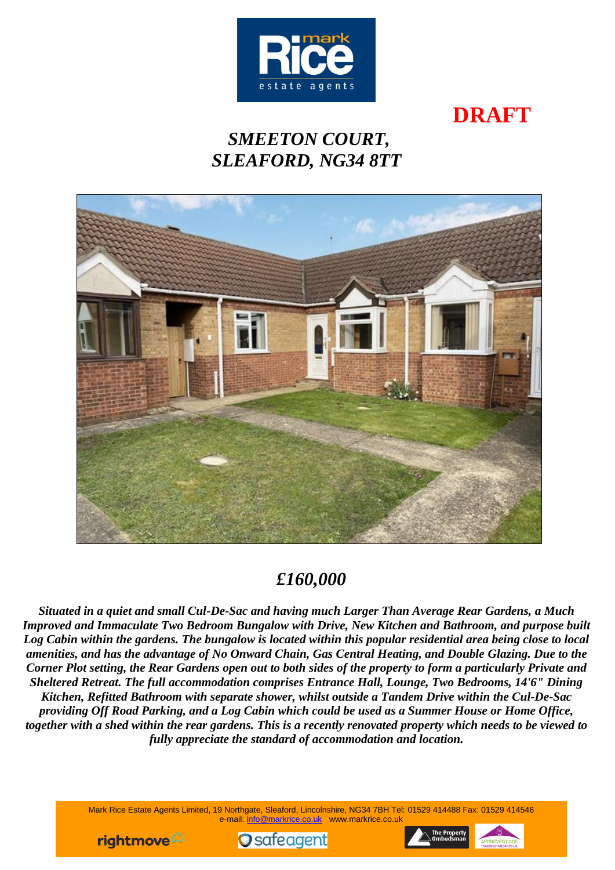

# **DRAFT**

## *SMEETON COURT, SLEAFORD, NG34 8TT*



## *£160,000*

*Situated in a quiet and small Cul-De-Sac and having much Larger Than Average Rear Gardens, a Much Improved and Immaculate Two Bedroom Bungalow with Drive, New Kitchen and Bathroom, and purpose built Log Cabin within the gardens. The bungalow is located within this popular residential area being close to local amenities, and has the advantage of No Onward Chain, Gas Central Heating, and Double Glazing. Due to the Corner Plot setting, the Rear Gardens open out to both sides of the property to form a particularly Private and Sheltered Retreat. The full accommodation comprises Entrance Hall, Lounge, Two Bedrooms, 14'6" Dining Kitchen, Refitted Bathroom with separate shower, whilst outside a Tandem Drive within the Cul-De-Sac providing Off Road Parking, and a Log Cabin which could be used as a Summer House or Home Office, together with a shed within the rear gardens. This is a recently renovated property which needs to be viewed to fully appreciate the standard of accommodation and location.*

> Mark Rice Estate Agents Limited, 19 Northgate, Sleaford, Lincolnshire, NG34 7BH Tel: 01529 414488 Fax: 01529 414546 e-mail: [info@markrice.co.uk](mailto:info@markrice.co.uk) www.markrice.co.uk





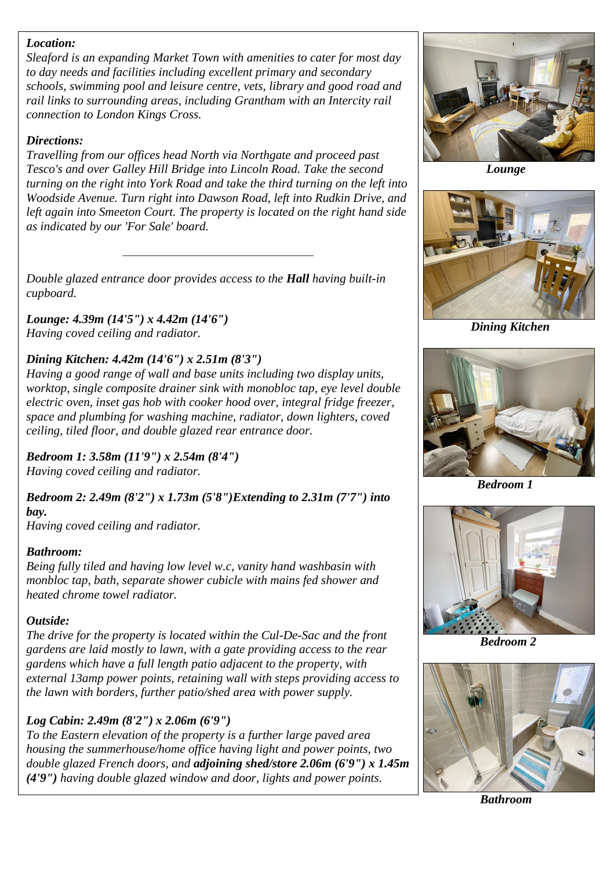#### *Location:*

*Sleaford is an expanding Market Town with amenities to cater for most day to day needs and facilities including excellent primary and secondary schools, swimming pool and leisure centre, vets, library and good road and rail links to surrounding areas, including Grantham with an Intercity rail connection to London Kings Cross.*

#### *Directions:*

*Travelling from our offices head North via Northgate and proceed past Tesco's and over Galley Hill Bridge into Lincoln Road. Take the second turning on the right into York Road and take the third turning on the left into Woodside Avenue. Turn right into Dawson Road, left into Rudkin Drive, and left again into Smeeton Court. The property is located on the right hand side as indicated by our 'For Sale' board.*

*\_\_\_\_\_\_\_\_\_\_\_\_\_\_\_\_\_\_\_\_\_\_\_\_\_\_\_\_\_\_\_\_\_\_\_\_\_*

*Double glazed entrance door provides access to the Hall having built-in cupboard.*

*Lounge: 4.39m (14'5") x 4.42m (14'6") Having coved ceiling and radiator.*

### *Dining Kitchen: 4.42m (14'6") x 2.51m (8'3")*

*Having a good range of wall and base units including two display units, worktop, single composite drainer sink with monobloc tap, eye level double electric oven, inset gas hob with cooker hood over, integral fridge freezer, space and plumbing for washing machine, radiator, down lighters, coved ceiling, tiled floor, and double glazed rear entrance door.*

*Bedroom 1: 3.58m (11'9") x 2.54m (8'4") Having coved ceiling and radiator.*

*Bedroom 2: 2.49m (8'2") x 1.73m (5'8")Extending to 2.31m (7'7") into bay. Having coved ceiling and radiator.*

#### *Bathroom:*

*Being fully tiled and having low level w.c, vanity hand washbasin with monbloc tap, bath, separate shower cubicle with mains fed shower and heated chrome towel radiator.*

### *Outside:*

*The drive for the property is located within the Cul-De-Sac and the front gardens are laid mostly to lawn, with a gate providing access to the rear gardens which have a full length patio adjacent to the property, with external 13amp power points, retaining wall with steps providing access to the lawn with borders, further patio/shed area with power supply.*

### *Log Cabin: 2.49m (8'2") x 2.06m (6'9")*

*To the Eastern elevation of the property is a further large paved area housing the summerhouse/home office having light and power points, two double glazed French doors, and adjoining shed/store 2.06m (6'9") x 1.45m (4'9") having double glazed window and door, lights and power points.*



 *Lounge*



 *Dining Kitchen*



 *Bedroom 1*



 *Bedroom 2*



 *Bathroom*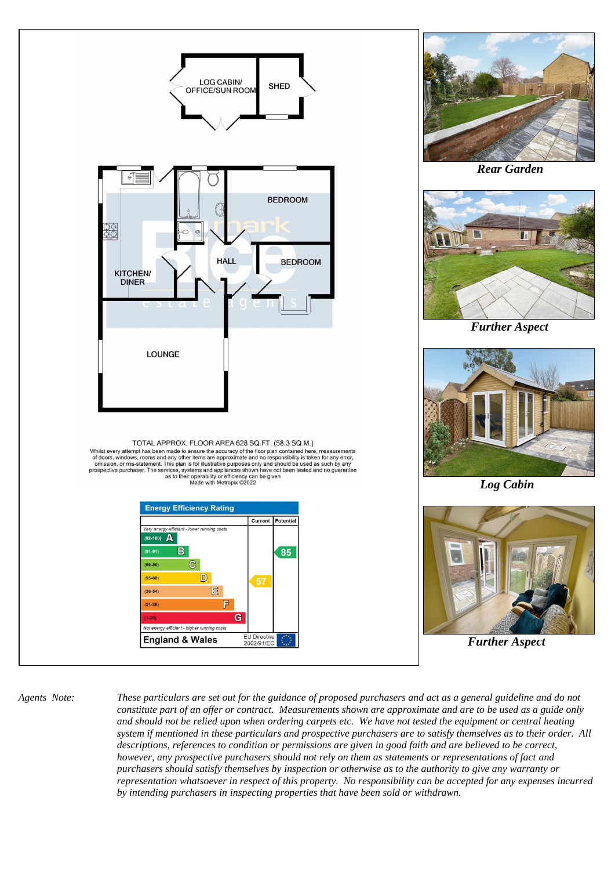

*Agents Note: These particulars are set out for the guidance of proposed purchasers and act as a general guideline and do not constitute part of an offer or contract. Measurements shown are approximate and are to be used as a guide only and should not be relied upon when ordering carpets etc. We have not tested the equipment or central heating system if mentioned in these particulars and prospective purchasers are to satisfy themselves as to their order. All descriptions, references to condition or permissions are given in good faith and are believed to be correct, however, any prospective purchasers should not rely on them as statements or representations of fact and purchasers should satisfy themselves by inspection or otherwise as to the authority to give any warranty or representation whatsoever in respect of this property. No responsibility can be accepted for any expenses incurred by intending purchasers in inspecting properties that have been sold or withdrawn.*